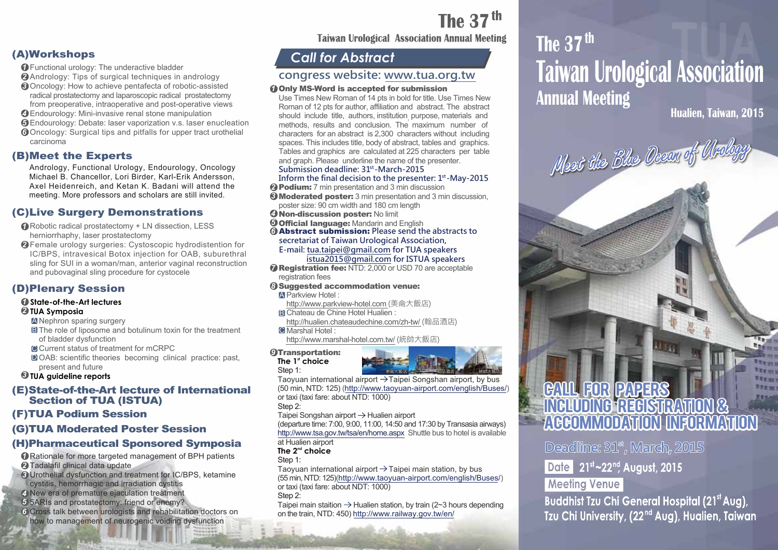# The  $37<sup>th</sup>$

**Taiwan Urological Association Annual Meeting** 

# *Call for Abstract*

### **congress website: www.tua.org.tw**

#### Only MS-Word is accepted for submission *1*

 Use Times New Roman of 14 pts in bold for title. Use Times New Roman of 12 pts for author, affiliation and abstract. The abstract should include title, authors, institution, purpose, materials and methods, results and conclusion. The maximum number of characters for an abstract is 2,300 characters without including spaces. This includes title, body of abstract, tables and graphics. Tables and graphics are calculated at 225 characters per table and graph. Please underline the name of the presenter.

#### **Submission deadline: 31<sup>st</sup>-March-2015 Inform the final decision to the presenter: 1st-May-2015**

Podium: 7 min presentation and 3 min discussion *2*

**9 Moderated poster:** 3 min presentation and 3 min discussion,

- poster size: 90 cm width and 180 cm length
- $\boldsymbol{\Phi}$  **Non-discussion poster:** No limit
- **Difficial language:** Mandarin and English
- *6* Abstract submission: **Please send the abstracts to secretariat of Taiwan Urological Association,**

**E-mail: tua.taipei@gmail.com for TUA speakers istua2015@gmail.com for ISTUA speakers**

**7 Registration fee:** NTD: 2,000 or USD 70 are acceptable registration fees

#### Suggested accommodation venue: *8*

A Parkview Hotel:

http://www.parkview-hotel.com (美侖大飯店)

**B** Chateau de Chine Hotel Hualien :

http://hualien.chateaudechine.com/zh-tw/ (翰品酒店)

**C** Marshal Hotel:

http://www.marshal-hotel.com.tw/ (統帥大飯店)

#### Transportation: *9* The 1<sup>st</sup> choice Step 1:



Taoyuan international airport  $\rightarrow$  Taipei Songshan airport, by bus (50 min, NTD: 125) (http://www.taoyuan-airport.com/english/Buses/) or taxi (taxi fare: about NTD: 1000)

Step 2:

Taipei Songshan airport  $\rightarrow$  Hualien airport

(departure time: 7:00, 9:00, 11:00, 14:50 and 17:30 by Transasia airways) http://www.tsa.gov.tw/tsa/en/home.aspx Shuttle bus to hotel is available at Hualien airport

#### **The 2nd choice**

Step 1:

Taoyuan international airport  $\rightarrow$  Taipei main station, by bus (55 min, NTD: 125)(http://www.taoyuan-airport.com/english/Buses/) or taxi (taxi fare: about NDT: 1000)

Step 2:

Taipei main staition  $\rightarrow$  Hualien station, by train (2~3 hours depending on the train, NTD: 450) http://www.railway.gov.tw/en/

# **Taiwan Urological Association The 37<sup>th</sup> Annual Meeting TUAR**<br>TUARDISCO

**Hualien, Taiwan, 2015**

**BBET** 



CALL FOR PAPERS

INCLUDING REGISTRATION & ACCOMMODATION INFORMAT

Buddhist Tzu Chi General Hospital (21st Aug), Tzu Chi University, (22<sup>nd</sup> Aug), Huglien, Taiwan

Deadline: 31<sup>\*</sup>, March, 2015

Date 21st~22<sup>nd</sup>, August, 2015

Meeting Venue

#### **TUA Symposia** *2* A Nephron sparing surgery

herniorrhaphy, laser prostatectomy

**B** The role of liposome and botulinum toxin for the treatment of bladder dysfunction

Female urology surgeries: Cystoscopic hydrodistention for *2* IC/BPS, intravesical Botox injection for OAB, suburethral sling for SUI in a woman/man, anterior vaginal reconstruction

**C** Current status of treatment for mCRPC

(C)Live Surgery Demonstrations

and pubovaginal sling procedure for cystocele

Robotic radical prostatectomy + LN dissection, LESS *1*

Functional urology: The underactive bladder *1*

Andrology: Tips of surgical techniques in andrology *2* Oncology: How to achieve pentafecta of robotic-assisted *3* radical prostatectomy and laparoscopic radical prostatectomy from preoperative, intraoperative and post-operative views Endourology: Mini-invasive renal stone manipulation *4*

Endourology: Debate: laser vaporization v.s. laser enucleation *5* Oncology: Surgical tips and pitfalls for upper tract urothelial *6*

 Andrology, Functional Urology, Endourology, Oncology Michael B. Chancellor, Lori Birder, Karl-Erik Andersson, Axel Heidenreich, and Ketan K. Badani will attend the meeting. More professors and scholars are still invited.

**DOAB:** scientific theories becoming clinical practice: past, present and future

#### **TUA guideline reports** *3*

(D)Plenary Session

**State-of-the-Art lectures** *1*

(A)Workshops

carcinoma

(B)Meet the Experts

#### (E)State-of-the-Art lecture of International Section of TUA (ISTUA)

### (F)TUA Podium Session

### (G)TUA Moderated Poster Session

## (H)Pharmaceutical Sponsored Symposia

- Rationale for more targeted management of BPH patients *1* Tadalafil clinical data update *2*
- Urothelial dysfunction and treatment for IC/BPS, ketamine *3* cystitis, hemorrhagic and irradiation cystitis
- New era of premature ejaculation treatment *4*
- 5 5ARIs and prostatectomy: friend or enemy?
- Cross talk between urologists and rehabilitation doctors on *6* how to management of neurogenic voiding dysfunction